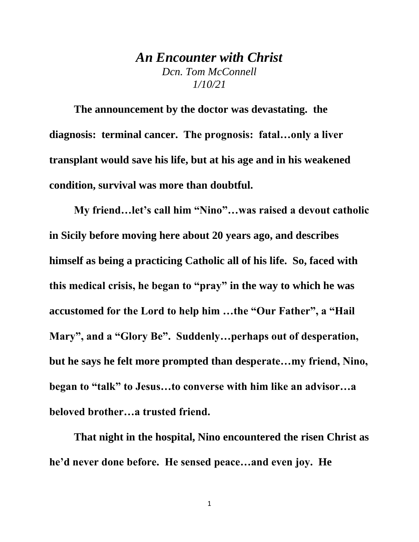## *An Encounter with Christ Dcn. Tom McConnell 1/10/21*

**The announcement by the doctor was devastating. the diagnosis: terminal cancer. The prognosis: fatal…only a liver transplant would save his life, but at his age and in his weakened condition, survival was more than doubtful.**

**My friend…let's call him "Nino"…was raised a devout catholic in Sicily before moving here about 20 years ago, and describes himself as being a practicing Catholic all of his life. So, faced with this medical crisis, he began to "pray" in the way to which he was accustomed for the Lord to help him …the "Our Father", a "Hail Mary", and a "Glory Be". Suddenly…perhaps out of desperation, but he says he felt more prompted than desperate…my friend, Nino, began to "talk" to Jesus…to converse with him like an advisor…a beloved brother…a trusted friend.**

**That night in the hospital, Nino encountered the risen Christ as he'd never done before. He sensed peace…and even joy. He**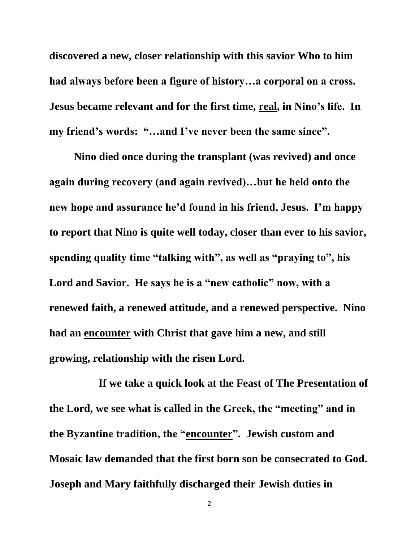**discovered a new, closer relationship with this savior Who to him had always before been a figure of history…a corporal on a cross. Jesus became relevant and for the first time, real, in Nino's life. In my friend's words: "…and I've never been the same since".**

**Nino died once during the transplant (was revived) and once again during recovery (and again revived)…but he held onto the new hope and assurance he'd found in his friend, Jesus. I'm happy to report that Nino is quite well today, closer than ever to his savior, spending quality time "talking with", as well as "praying to", his Lord and Savior. He says he is a "new catholic" now, with a renewed faith, a renewed attitude, and a renewed perspective. Nino had an encounter with Christ that gave him a new, and still growing, relationship with the risen Lord.**

 **If we take a quick look at the Feast of The Presentation of the Lord, we see what is called in the Greek, the "meeting" and in the Byzantine tradition, the "encounter". Jewish custom and Mosaic law demanded that the first born son be consecrated to God. Joseph and Mary faithfully discharged their Jewish duties in**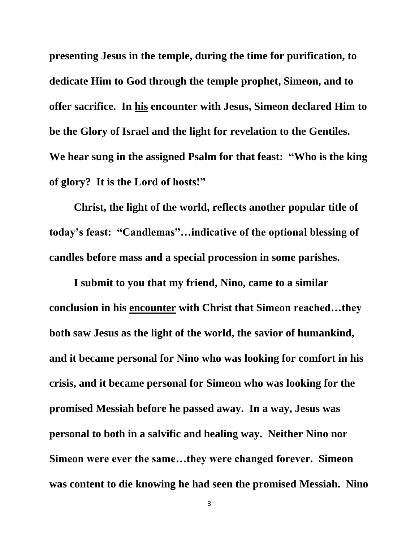**presenting Jesus in the temple, during the time for purification, to dedicate Him to God through the temple prophet, Simeon, and to offer sacrifice. In his encounter with Jesus, Simeon declared Him to be the Glory of Israel and the light for revelation to the Gentiles. We hear sung in the assigned Psalm for that feast: "Who is the king of glory? It is the Lord of hosts!"**

**Christ, the light of the world, reflects another popular title of today's feast: "Candlemas"…indicative of the optional blessing of candles before mass and a special procession in some parishes.** 

**I submit to you that my friend, Nino, came to a similar conclusion in his encounter with Christ that Simeon reached…they both saw Jesus as the light of the world, the savior of humankind, and it became personal for Nino who was looking for comfort in his crisis, and it became personal for Simeon who was looking for the promised Messiah before he passed away. In a way, Jesus was personal to both in a salvific and healing way. Neither Nino nor Simeon were ever the same…they were changed forever. Simeon was content to die knowing he had seen the promised Messiah. Nino**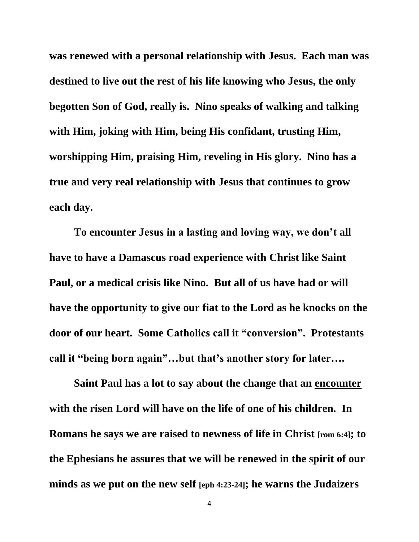**was renewed with a personal relationship with Jesus. Each man was destined to live out the rest of his life knowing who Jesus, the only begotten Son of God, really is. Nino speaks of walking and talking with Him, joking with Him, being His confidant, trusting Him, worshipping Him, praising Him, reveling in His glory. Nino has a true and very real relationship with Jesus that continues to grow each day.**

**To encounter Jesus in a lasting and loving way, we don't all have to have a Damascus road experience with Christ like Saint Paul, or a medical crisis like Nino. But all of us have had or will have the opportunity to give our fiat to the Lord as he knocks on the door of our heart. Some Catholics call it "conversion". Protestants call it "being born again"…but that's another story for later….**

**Saint Paul has a lot to say about the change that an encounter with the risen Lord will have on the life of one of his children. In Romans he says we are raised to newness of life in Christ [rom 6:4]; to the Ephesians he assures that we will be renewed in the spirit of our minds as we put on the new self [eph 4:23-24]; he warns the Judaizers**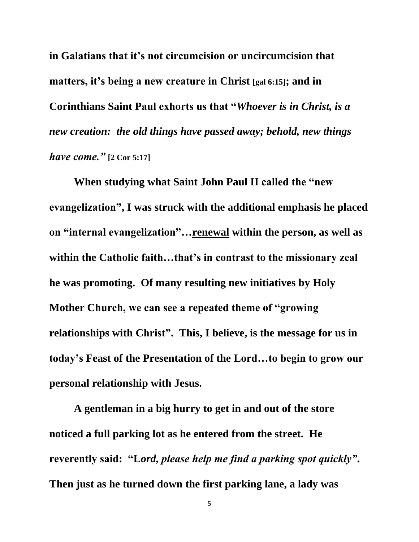**in Galatians that it's not circumcision or uncircumcision that matters, it's being a new creature in Christ [gal 6:15]; and in Corinthians Saint Paul exhorts us that "***Whoever is in Christ, is a new creation: the old things have passed away; behold, new things have come."* **[2 Cor 5:17]**

**When studying what Saint John Paul II called the "new evangelization", I was struck with the additional emphasis he placed on "internal evangelization"…renewal within the person, as well as within the Catholic faith…that's in contrast to the missionary zeal he was promoting. Of many resulting new initiatives by Holy Mother Church, we can see a repeated theme of "growing relationships with Christ". This, I believe, is the message for us in today's Feast of the Presentation of the Lord…to begin to grow our personal relationship with Jesus.**

**A gentleman in a big hurry to get in and out of the store noticed a full parking lot as he entered from the street. He reverently said: "L***ord, please help me find a parking spot quickly"***. Then just as he turned down the first parking lane, a lady was**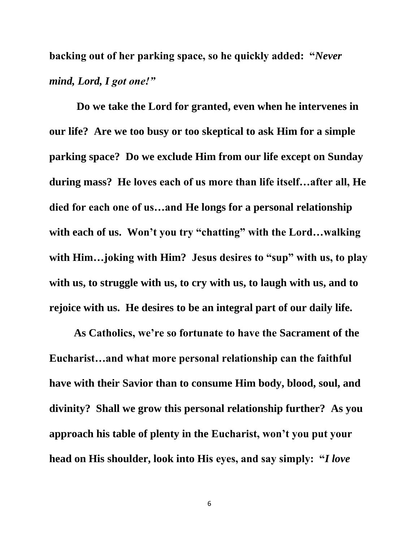**backing out of her parking space, so he quickly added: "***Never mind, Lord, I got one!"*

**Do we take the Lord for granted, even when he intervenes in our life? Are we too busy or too skeptical to ask Him for a simple parking space? Do we exclude Him from our life except on Sunday during mass? He loves each of us more than life itself…after all, He died for each one of us…and He longs for a personal relationship with each of us. Won't you try "chatting" with the Lord…walking with Him…joking with Him? Jesus desires to "sup" with us, to play with us, to struggle with us, to cry with us, to laugh with us, and to rejoice with us. He desires to be an integral part of our daily life.**

**As Catholics, we're so fortunate to have the Sacrament of the Eucharist…and what more personal relationship can the faithful have with their Savior than to consume Him body, blood, soul, and divinity? Shall we grow this personal relationship further? As you approach his table of plenty in the Eucharist, won't you put your head on His shoulder, look into His eyes, and say simply: "***I love* 

6